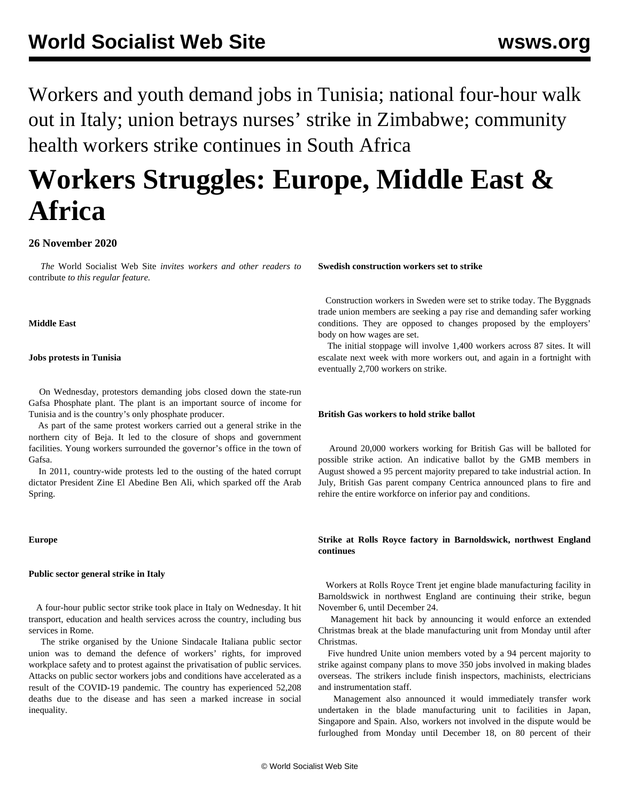Workers and youth demand jobs in Tunisia; national four-hour walk out in Italy; union betrays nurses' strike in Zimbabwe; community health workers strike continues in South Africa

# **Workers Struggles: Europe, Middle East & Africa**

# **26 November 2020**

 *The* World Socialist Web Site *invites workers and other readers to* [contribute](/wsws/dd-formmailer/dd-formmailer.php) *to this regular feature.*

## **Middle East**

## **Jobs protests in Tunisia**

 On Wednesday, protestors demanding jobs closed down the state-run Gafsa Phosphate plant. The plant is an important source of income for Tunisia and is the country's only phosphate producer.

 As part of the same protest workers carried out a general strike in the northern city of Beja. It led to the closure of shops and government facilities. Young workers surrounded the governor's office in the town of Gafsa.

 In 2011, country-wide protests led to the ousting of the hated corrupt dictator President Zine El Abedine Ben Ali, which sparked off the Arab Spring.

**Europe**

## **Public sector general strike in Italy**

 A four-hour public sector strike took place in Italy on Wednesday. It hit transport, education and health services across the country, including bus services in Rome.

 The strike organised by the Unione Sindacale Italiana public sector union was to demand the defence of workers' rights, for improved workplace safety and to protest against the privatisation of public services. Attacks on public sector workers jobs and conditions have accelerated as a result of the COVID-19 pandemic. The country has experienced 52,208 deaths due to the disease and has seen a marked increase in social inequality.

#### **Swedish construction workers set to strike**

 Construction workers in Sweden were set to strike today. The Byggnads trade union members are seeking a pay rise and demanding safer working conditions. They are opposed to changes proposed by the employers' body on how wages are set.

 The initial stoppage will involve 1,400 workers across 87 sites. It will escalate next week with more workers out, and again in a fortnight with eventually 2,700 workers on strike.

#### **British Gas workers to hold strike ballot**

 Around 20,000 workers working for British Gas will be balloted for possible strike action. An indicative ballot by the GMB members in August showed a 95 percent majority prepared to take industrial action. In July, British Gas parent company Centrica announced plans to fire and rehire the entire workforce on inferior pay and conditions.

# **Strike at Rolls Royce factory in Barnoldswick, northwest England continues**

 Workers at Rolls Royce Trent jet engine blade manufacturing facility in Barnoldswick in northwest England are continuing their strike, begun November 6, until December 24.

 Management hit back by announcing it would enforce an extended Christmas break at the blade manufacturing unit from Monday until after Christmas.

 Five hundred Unite union members voted by a 94 percent majority to strike against company plans to move 350 jobs involved in making blades overseas. The strikers include finish inspectors, machinists, electricians and instrumentation staff.

 Management also announced it would immediately transfer work undertaken in the blade manufacturing unit to facilities in Japan, Singapore and Spain. Also, workers not involved in the dispute would be furloughed from Monday until December 18, on 80 percent of their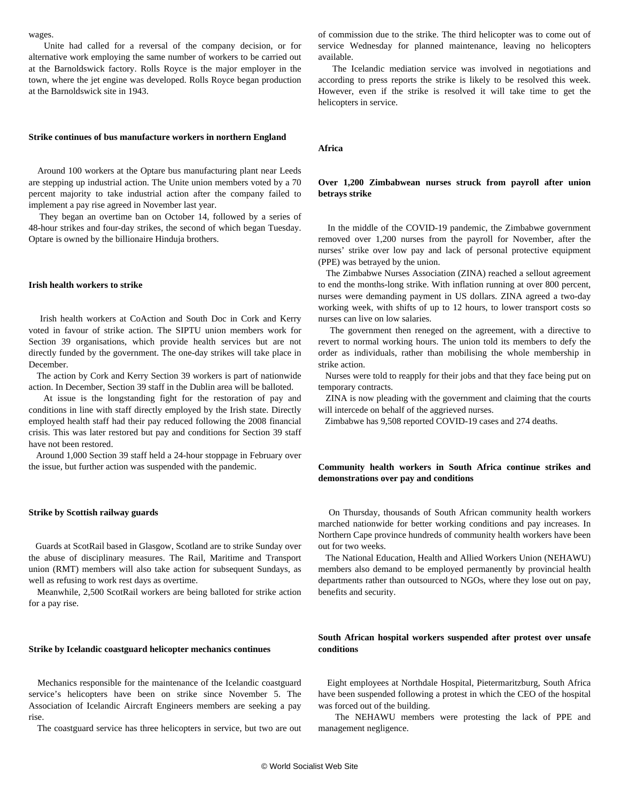wages.

 Unite had called for a reversal of the company decision, or for alternative work employing the same number of workers to be carried out at the Barnoldswick factory. Rolls Royce is the major employer in the town, where the jet engine was developed. Rolls Royce began production at the Barnoldswick site in 1943.

### **Strike continues of bus manufacture workers in northern England**

 Around 100 workers at the Optare bus manufacturing plant near Leeds are stepping up industrial action. The Unite union members voted by a 70 percent majority to take industrial action after the company failed to implement a pay rise agreed in November last year.

 They began an overtime ban on October 14, followed by a series of 48-hour strikes and four-day strikes, the second of which began Tuesday. Optare is owned by the billionaire Hinduja brothers.

#### **Irish health workers to strike**

 Irish health workers at CoAction and South Doc in Cork and Kerry voted in favour of strike action. The SIPTU union members work for Section 39 organisations, which provide health services but are not directly funded by the government. The one-day strikes will take place in December.

 The action by Cork and Kerry Section 39 workers is part of nationwide action. In December, Section 39 staff in the Dublin area will be balloted.

 At issue is the longstanding fight for the restoration of pay and conditions in line with staff directly employed by the Irish state. Directly employed health staff had their pay reduced following the 2008 financial crisis. This was later restored but pay and conditions for Section 39 staff have not been restored.

 Around 1,000 Section 39 staff held a 24-hour stoppage in February over the issue, but further action was suspended with the pandemic.

#### **Strike by Scottish railway guards**

 Guards at ScotRail based in Glasgow, Scotland are to strike Sunday over the abuse of disciplinary measures. The Rail, Maritime and Transport union (RMT) members will also take action for subsequent Sundays, as well as refusing to work rest days as overtime.

 Meanwhile, 2,500 ScotRail workers are being balloted for strike action for a pay rise.

## **Strike by Icelandic coastguard helicopter mechanics continues**

 Mechanics responsible for the maintenance of the Icelandic coastguard service's helicopters have been on strike since November 5. The Association of Icelandic Aircraft Engineers members are seeking a pay rise.

The coastguard service has three helicopters in service, but two are out

of commission due to the strike. The third helicopter was to come out of service Wednesday for planned maintenance, leaving no helicopters available.

 The Icelandic mediation service was involved in negotiations and according to press reports the strike is likely to be resolved this week. However, even if the strike is resolved it will take time to get the helicopters in service.

#### **Africa**

## **Over 1,200 Zimbabwean nurses struck from payroll after union betrays strike**

 In the middle of the COVID-19 pandemic, the Zimbabwe government removed over 1,200 nurses from the payroll for November, after the nurses' strike over low pay and lack of personal protective equipment (PPE) was betrayed by the union.

 The Zimbabwe Nurses Association (ZINA) reached a sellout agreement to end the months-long strike. With inflation running at over 800 percent, nurses were demanding payment in US dollars. ZINA agreed a two-day working week, with shifts of up to 12 hours, to lower transport costs so nurses can live on low salaries.

 The government then reneged on the agreement, with a directive to revert to normal working hours. The union told its members to defy the order as individuals, rather than mobilising the whole membership in strike action.

 Nurses were told to reapply for their jobs and that they face being put on temporary contracts.

 ZINA is now pleading with the government and claiming that the courts will intercede on behalf of the aggrieved nurses.

Zimbabwe has 9,508 reported COVID-19 cases and 274 deaths.

## **Community health workers in South Africa continue strikes and demonstrations over pay and conditions**

 On Thursday, thousands of South African community health workers marched nationwide for better working conditions and pay increases. In Northern Cape province hundreds of community health workers have been out for two weeks.

 The National Education, Health and Allied Workers Union (NEHAWU) members also demand to be employed permanently by provincial health departments rather than outsourced to NGOs, where they lose out on pay, benefits and security.

## **South African hospital workers suspended after protest over unsafe conditions**

 Eight employees at Northdale Hospital, Pietermaritzburg, South Africa have been suspended following a protest in which the CEO of the hospital was forced out of the building.

 The NEHAWU members were protesting the lack of PPE and management negligence.